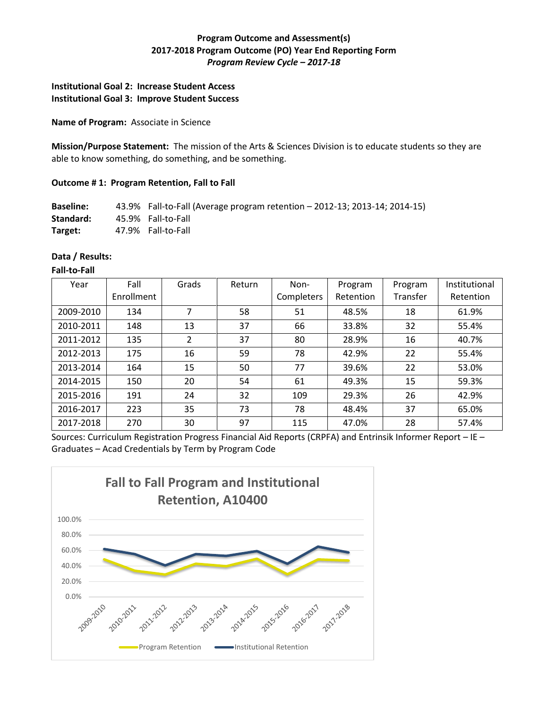# **Program Outcome and Assessment(s) 2017-2018 Program Outcome (PO) Year End Reporting Form** *Program Review Cycle – 2017-18*

# **Institutional Goal 2: Increase Student Access Institutional Goal 3: Improve Student Success**

**Name of Program:** Associate in Science

**Mission/Purpose Statement:** The mission of the Arts & Sciences Division is to educate students so they are able to know something, do something, and be something.

### **Outcome # 1: Program Retention, Fall to Fall**

**Baseline:** 43.9% Fall-to-Fall (Average program retention – 2012-13; 2013-14; 2014-15) **Standard:** 45.9% Fall-to-Fall **Target:** 47.9% Fall-to-Fall

#### **Data / Results:**

#### **Fall-to-Fall**

| Year      | Fall       | Grads          | Return | Non-       | Program   | Program  | Institutional |
|-----------|------------|----------------|--------|------------|-----------|----------|---------------|
|           | Enrollment |                |        | Completers | Retention | Transfer | Retention     |
| 2009-2010 | 134        | 7              | 58     | 51         | 48.5%     | 18       | 61.9%         |
| 2010-2011 | 148        | 13             | 37     | 66         | 33.8%     | 32       | 55.4%         |
| 2011-2012 | 135        | $\overline{2}$ | 37     | 80         | 28.9%     | 16       | 40.7%         |
| 2012-2013 | 175        | 16             | 59     | 78         | 42.9%     | 22       | 55.4%         |
| 2013-2014 | 164        | 15             | 50     | 77         | 39.6%     | 22       | 53.0%         |
| 2014-2015 | 150        | 20             | 54     | 61         | 49.3%     | 15       | 59.3%         |
| 2015-2016 | 191        | 24             | 32     | 109        | 29.3%     | 26       | 42.9%         |
| 2016-2017 | 223        | 35             | 73     | 78         | 48.4%     | 37       | 65.0%         |
| 2017-2018 | 270        | 30             | 97     | 115        | 47.0%     | 28       | 57.4%         |

Sources: Curriculum Registration Progress Financial Aid Reports (CRPFA) and Entrinsik Informer Report – IE – Graduates – Acad Credentials by Term by Program Code

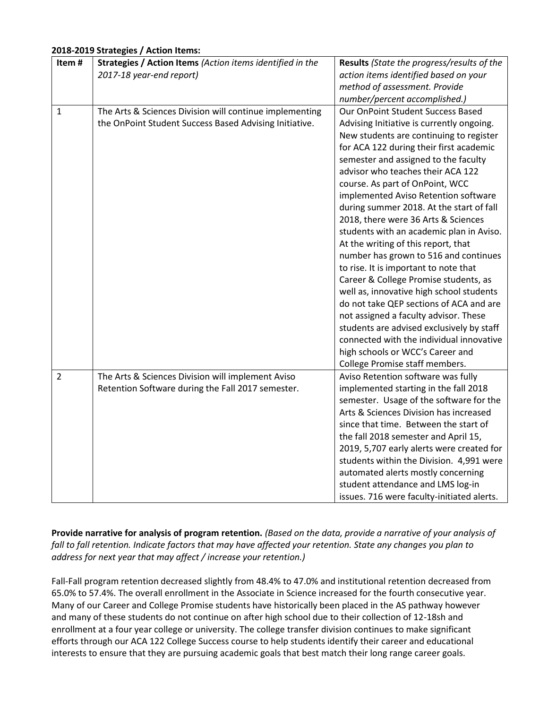### **2018-2019 Strategies / Action Items:**

| Item#          | Strategies / Action Items (Action items identified in the | Results (State the progress/results of the |
|----------------|-----------------------------------------------------------|--------------------------------------------|
|                | 2017-18 year-end report)                                  | action items identified based on your      |
|                |                                                           | method of assessment. Provide              |
|                |                                                           | number/percent accomplished.)              |
| $\mathbf{1}$   | The Arts & Sciences Division will continue implementing   | Our OnPoint Student Success Based          |
|                | the OnPoint Student Success Based Advising Initiative.    | Advising Initiative is currently ongoing.  |
|                |                                                           | New students are continuing to register    |
|                |                                                           | for ACA 122 during their first academic    |
|                |                                                           | semester and assigned to the faculty       |
|                |                                                           | advisor who teaches their ACA 122          |
|                |                                                           | course. As part of OnPoint, WCC            |
|                |                                                           | implemented Aviso Retention software       |
|                |                                                           | during summer 2018. At the start of fall   |
|                |                                                           | 2018, there were 36 Arts & Sciences        |
|                |                                                           | students with an academic plan in Aviso.   |
|                |                                                           | At the writing of this report, that        |
|                |                                                           | number has grown to 516 and continues      |
|                |                                                           | to rise. It is important to note that      |
|                |                                                           | Career & College Promise students, as      |
|                |                                                           | well as, innovative high school students   |
|                |                                                           | do not take QEP sections of ACA and are    |
|                |                                                           | not assigned a faculty advisor. These      |
|                |                                                           | students are advised exclusively by staff  |
|                |                                                           | connected with the individual innovative   |
|                |                                                           | high schools or WCC's Career and           |
|                |                                                           | College Promise staff members.             |
| $\overline{2}$ | The Arts & Sciences Division will implement Aviso         | Aviso Retention software was fully         |
|                | Retention Software during the Fall 2017 semester.         | implemented starting in the fall 2018      |
|                |                                                           | semester. Usage of the software for the    |
|                |                                                           | Arts & Sciences Division has increased     |
|                |                                                           | since that time. Between the start of      |
|                |                                                           | the fall 2018 semester and April 15,       |
|                |                                                           | 2019, 5,707 early alerts were created for  |
|                |                                                           | students within the Division. 4,991 were   |
|                |                                                           | automated alerts mostly concerning         |
|                |                                                           | student attendance and LMS log-in          |
|                |                                                           | issues. 716 were faculty-initiated alerts. |

**Provide narrative for analysis of program retention.** *(Based on the data, provide a narrative of your analysis of fall to fall retention. Indicate factors that may have affected your retention. State any changes you plan to address for next year that may affect / increase your retention.)* 

Fall-Fall program retention decreased slightly from 48.4% to 47.0% and institutional retention decreased from 65.0% to 57.4%. The overall enrollment in the Associate in Science increased for the fourth consecutive year. Many of our Career and College Promise students have historically been placed in the AS pathway however and many of these students do not continue on after high school due to their collection of 12-18sh and enrollment at a four year college or university. The college transfer division continues to make significant efforts through our ACA 122 College Success course to help students identify their career and educational interests to ensure that they are pursuing academic goals that best match their long range career goals.